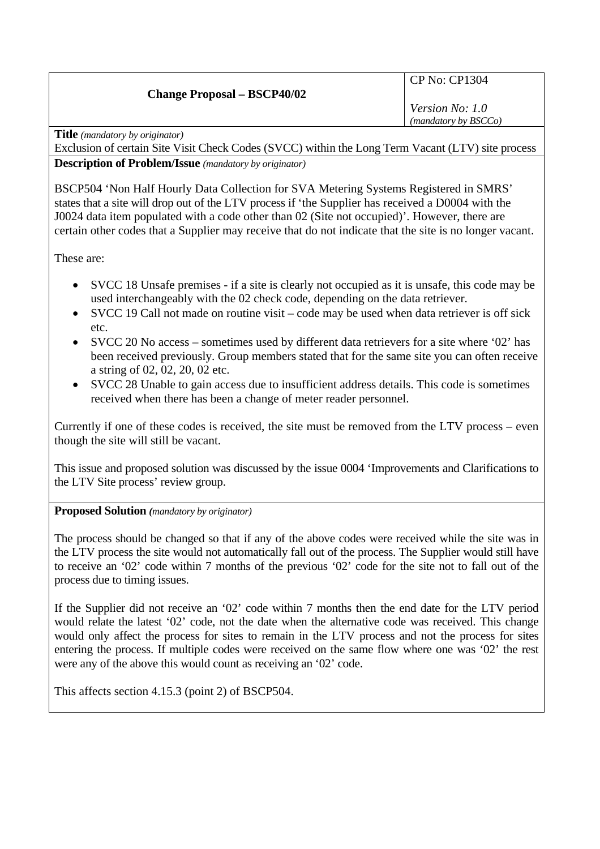## **Change Proposal – BSCP40/02**

CP No: CP1304

*Version No: 1.0 (mandatory by BSCCo)*

**Title** *(mandatory by originator)* 

Exclusion of certain Site Visit Check Codes (SVCC) within the Long Term Vacant (LTV) site process **Description of Problem/Issue** *(mandatory by originator)* 

BSCP504 'Non Half Hourly Data Collection for SVA Metering Systems Registered in SMRS' states that a site will drop out of the LTV process if 'the Supplier has received a D0004 with the J0024 data item populated with a code other than 02 (Site not occupied)'. However, there are certain other codes that a Supplier may receive that do not indicate that the site is no longer vacant.

These are:

- SVCC 18 Unsafe premises if a site is clearly not occupied as it is unsafe, this code may be used interchangeably with the 02 check code, depending on the data retriever.
- SVCC 19 Call not made on routine visit code may be used when data retriever is off sick etc.
- SVCC 20 No access sometimes used by different data retrievers for a site where '02' has been received previously. Group members stated that for the same site you can often receive a string of 02, 02, 20, 02 etc.
- SVCC 28 Unable to gain access due to insufficient address details. This code is sometimes received when there has been a change of meter reader personnel.

Currently if one of these codes is received, the site must be removed from the LTV process – even though the site will still be vacant.

This issue and proposed solution was discussed by the issue 0004 'Improvements and Clarifications to the LTV Site process' review group.

**Proposed Solution** *(mandatory by originator)* 

The process should be changed so that if any of the above codes were received while the site was in the LTV process the site would not automatically fall out of the process. The Supplier would still have to receive an '02' code within 7 months of the previous '02' code for the site not to fall out of the process due to timing issues.

If the Supplier did not receive an '02' code within 7 months then the end date for the LTV period would relate the latest '02' code, not the date when the alternative code was received. This change would only affect the process for sites to remain in the LTV process and not the process for sites entering the process. If multiple codes were received on the same flow where one was '02' the rest were any of the above this would count as receiving an '02' code.

This affects section 4.15.3 (point 2) of BSCP504.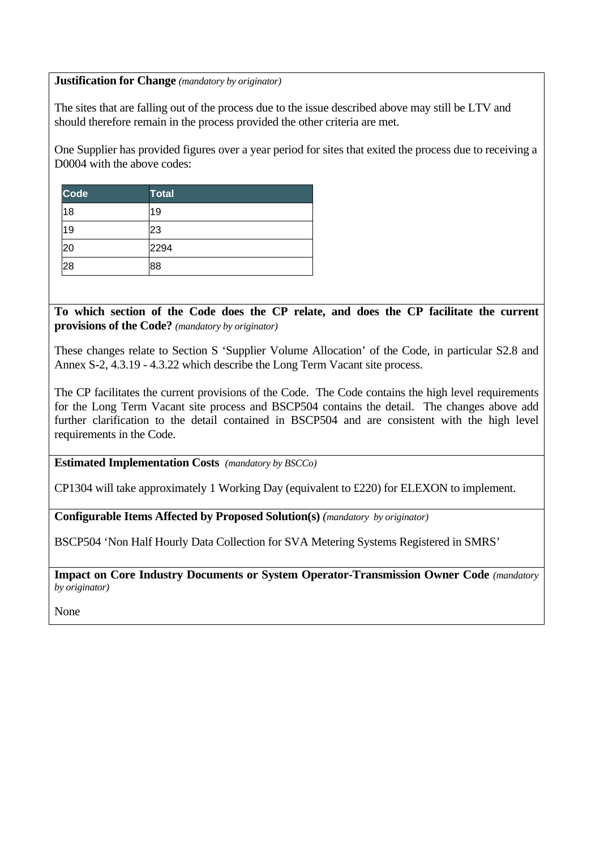## **Justification for Change** *(mandatory by originator)*

The sites that are falling out of the process due to the issue described above may still be LTV and should therefore remain in the process provided the other criteria are met.

One Supplier has provided figures over a year period for sites that exited the process due to receiving a D0004 with the above codes:

| <b>Code</b> | <b>Total</b> |
|-------------|--------------|
| 18          | 19           |
| 19          | 23           |
| 20          | 2294         |
| 28          | 88           |

**To which section of the Code does the CP relate, and does the CP facilitate the current provisions of the Code?** *(mandatory by originator)* 

These changes relate to Section S 'Supplier Volume Allocation' of the Code, in particular S2.8 and Annex S-2, 4.3.19 - 4.3.22 which describe the Long Term Vacant site process.

The CP facilitates the current provisions of the Code. The Code contains the high level requirements for the Long Term Vacant site process and BSCP504 contains the detail. The changes above add further clarification to the detail contained in BSCP504 and are consistent with the high level requirements in the Code.

**Estimated Implementation Costs** *(mandatory by BSCCo)* 

CP1304 will take approximately 1 Working Day (equivalent to £220) for ELEXON to implement.

**Configurable Items Affected by Proposed Solution(s)** *(mandatory by originator)* 

BSCP504 'Non Half Hourly Data Collection for SVA Metering Systems Registered in SMRS'

**Impact on Core Industry Documents or System Operator-Transmission Owner Code** *(mandatory by originator)* 

None